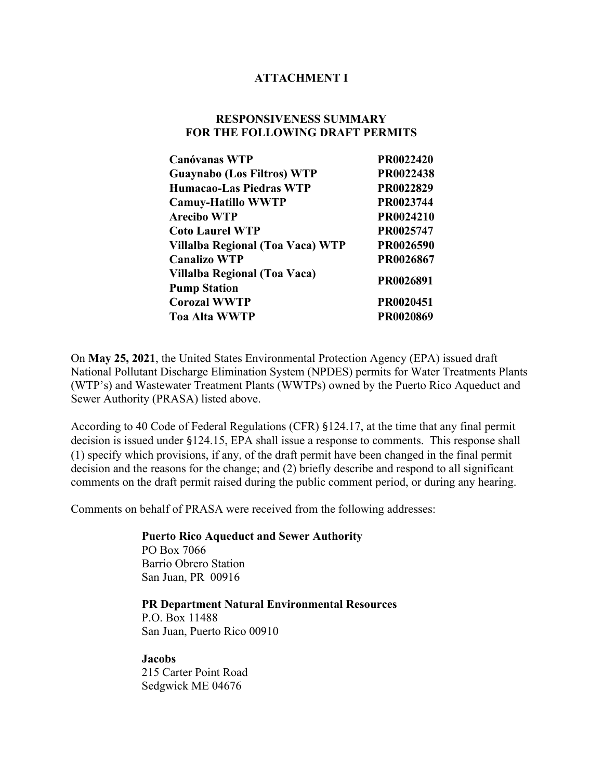### **ATTACHMENT I**

### **RESPONSIVENESS SUMMARY FOR THE FOLLOWING DRAFT PERMITS**

| PR0022420 |
|-----------|
| PR0022438 |
| PR0022829 |
| PR0023744 |
| PR0024210 |
| PR0025747 |
| PR0026590 |
| PR0026867 |
| PR0026891 |
| PR0020451 |
| PR0020869 |
|           |

On **May 25, 2021**, the United States Environmental Protection Agency (EPA) issued draft National Pollutant Discharge Elimination System (NPDES) permits for Water Treatments Plants (WTP's) and Wastewater Treatment Plants (WWTPs) owned by the Puerto Rico Aqueduct and Sewer Authority (PRASA) listed above.

According to 40 Code of Federal Regulations (CFR) §124.17, at the time that any final permit decision is issued under §124.15, EPA shall issue a response to comments. This response shall (1) specify which provisions, if any, of the draft permit have been changed in the final permit decision and the reasons for the change; and (2) briefly describe and respond to all significant comments on the draft permit raised during the public comment period, or during any hearing.

Comments on behalf of PRASA were received from the following addresses:

**Puerto Rico Aqueduct and Sewer Authority** PO Box 7066 Barrio Obrero Station San Juan, PR 00916

**PR Department Natural Environmental Resources**

P.O. Box 11488 San Juan, Puerto Rico 00910

#### **Jacobs**

215 Carter Point Road Sedgwick ME 04676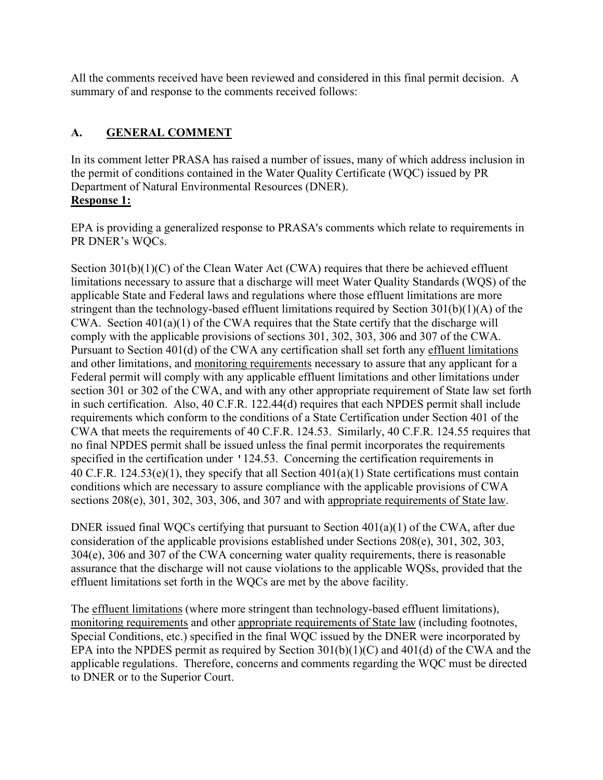All the comments received have been reviewed and considered in this final permit decision. A summary of and response to the comments received follows:

# **A. GENERAL COMMENT**

In its comment letter PRASA has raised a number of issues, many of which address inclusion in the permit of conditions contained in the Water Quality Certificate (WQC) issued by PR Department of Natural Environmental Resources (DNER). **Response 1:**

EPA is providing a generalized response to PRASA's comments which relate to requirements in PR DNER's WQCs.

Section  $301(b)(1)(C)$  of the Clean Water Act (CWA) requires that there be achieved effluent limitations necessary to assure that a discharge will meet Water Quality Standards (WQS) of the applicable State and Federal laws and regulations where those effluent limitations are more stringent than the technology-based effluent limitations required by Section 301(b)(1)(A) of the CWA. Section 401(a)(1) of the CWA requires that the State certify that the discharge will comply with the applicable provisions of sections 301, 302, 303, 306 and 307 of the CWA. Pursuant to Section 401(d) of the CWA any certification shall set forth any effluent limitations and other limitations, and monitoring requirements necessary to assure that any applicant for a Federal permit will comply with any applicable effluent limitations and other limitations under section 301 or 302 of the CWA, and with any other appropriate requirement of State law set forth in such certification. Also, 40 C.F.R. 122.44(d) requires that each NPDES permit shall include requirements which conform to the conditions of a State Certification under Section 401 of the CWA that meets the requirements of 40 C.F.R. 124.53. Similarly, 40 C.F.R. 124.55 requires that no final NPDES permit shall be issued unless the final permit incorporates the requirements specified in the certification under '124.53. Concerning the certification requirements in 40 C.F.R. 124.53(e)(1), they specify that all Section 401(a)(1) State certifications must contain conditions which are necessary to assure compliance with the applicable provisions of CWA sections 208(e), 301, 302, 303, 306, and 307 and with appropriate requirements of State law.

DNER issued final WQCs certifying that pursuant to Section 401(a)(1) of the CWA, after due consideration of the applicable provisions established under Sections 208(e), 301, 302, 303, 304(e), 306 and 307 of the CWA concerning water quality requirements, there is reasonable assurance that the discharge will not cause violations to the applicable WQSs, provided that the effluent limitations set forth in the WQCs are met by the above facility.

The effluent limitations (where more stringent than technology-based effluent limitations), monitoring requirements and other appropriate requirements of State law (including footnotes, Special Conditions, etc.) specified in the final WQC issued by the DNER were incorporated by EPA into the NPDES permit as required by Section 301(b)(1)(C) and 401(d) of the CWA and the applicable regulations. Therefore, concerns and comments regarding the WQC must be directed to DNER or to the Superior Court.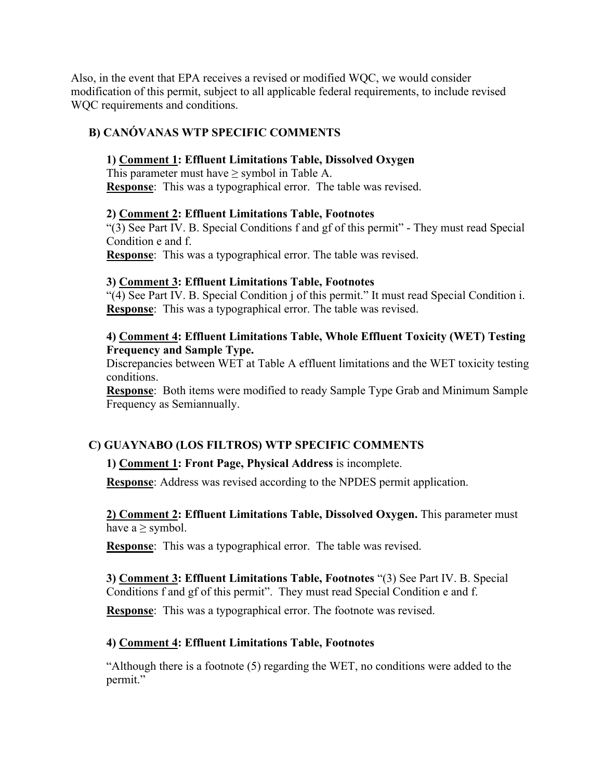Also, in the event that EPA receives a revised or modified WQC, we would consider modification of this permit, subject to all applicable federal requirements, to include revised WQC requirements and conditions.

## **B) CANÓVANAS WTP SPECIFIC COMMENTS**

### **1) Comment 1: Effluent Limitations Table, Dissolved Oxygen**

This parameter must have  $\geq$  symbol in Table A. **Response**: This was a typographical error. The table was revised.

### **2) Comment 2: Effluent Limitations Table, Footnotes**

"(3) See Part IV. B. Special Conditions f and gf of this permit" - They must read Special Condition e and f.

**Response**: This was a typographical error. The table was revised.

#### **3) Comment 3: Effluent Limitations Table, Footnotes**

"(4) See Part IV. B. Special Condition j of this permit." It must read Special Condition i. **Response**: This was a typographical error. The table was revised.

### **4) Comment 4: Effluent Limitations Table, Whole Effluent Toxicity (WET) Testing Frequency and Sample Type.**

Discrepancies between WET at Table A effluent limitations and the WET toxicity testing conditions.

**Response**: Both items were modified to ready Sample Type Grab and Minimum Sample Frequency as Semiannually.

## **C) GUAYNABO (LOS FILTROS) WTP SPECIFIC COMMENTS**

## **1) Comment 1: Front Page, Physical Address** is incomplete.

**Response**: Address was revised according to the NPDES permit application.

**2) Comment 2: Effluent Limitations Table, Dissolved Oxygen.** This parameter must have  $a \ge$  symbol.

**Response**: This was a typographical error. The table was revised.

#### **3) Comment 3: Effluent Limitations Table, Footnotes** "(3) See Part IV. B. Special Conditions f and gf of this permit". They must read Special Condition e and f.

**Response**: This was a typographical error. The footnote was revised.

## **4) Comment 4: Effluent Limitations Table, Footnotes**

"Although there is a footnote (5) regarding the WET, no conditions were added to the permit."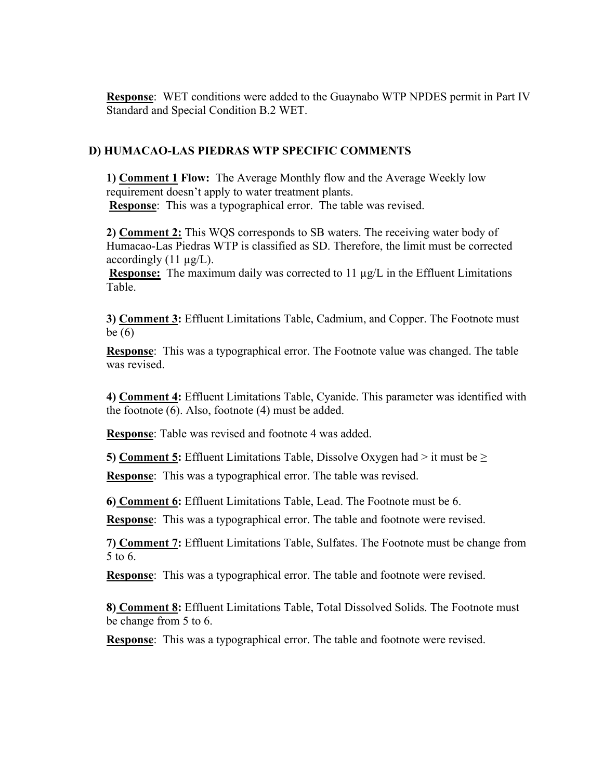**Response**: WET conditions were added to the Guaynabo WTP NPDES permit in Part IV Standard and Special Condition B.2 WET.

### **D) HUMACAO-LAS PIEDRAS WTP SPECIFIC COMMENTS**

**1) Comment 1 Flow:** The Average Monthly flow and the Average Weekly low requirement doesn't apply to water treatment plants. **Response**: This was a typographical error. The table was revised.

**2) Comment 2:** This WQS corresponds to SB waters. The receiving water body of Humacao-Las Piedras WTP is classified as SD. Therefore, the limit must be corrected accordingly  $(11 \mu g/L)$ .

**Response:** The maximum daily was corrected to  $11 \mu g/L$  in the Effluent Limitations Table.

**3) Comment 3:** Effluent Limitations Table, Cadmium, and Copper. The Footnote must be (6)

**Response**: This was a typographical error. The Footnote value was changed. The table was revised.

**4) Comment 4:** Effluent Limitations Table, Cyanide. This parameter was identified with the footnote (6). Also, footnote (4) must be added.

**Response**: Table was revised and footnote 4 was added.

**5) Comment 5:** Effluent Limitations Table, Dissolve Oxygen had > it must be >

**Response**: This was a typographical error. The table was revised.

**6) Comment 6:** Effluent Limitations Table, Lead. The Footnote must be 6.

**Response**: This was a typographical error. The table and footnote were revised.

**7) Comment 7:** Effluent Limitations Table, Sulfates. The Footnote must be change from 5 to 6.

**Response**: This was a typographical error. The table and footnote were revised.

**8) Comment 8:** Effluent Limitations Table, Total Dissolved Solids. The Footnote must be change from 5 to 6.

**Response**: This was a typographical error. The table and footnote were revised.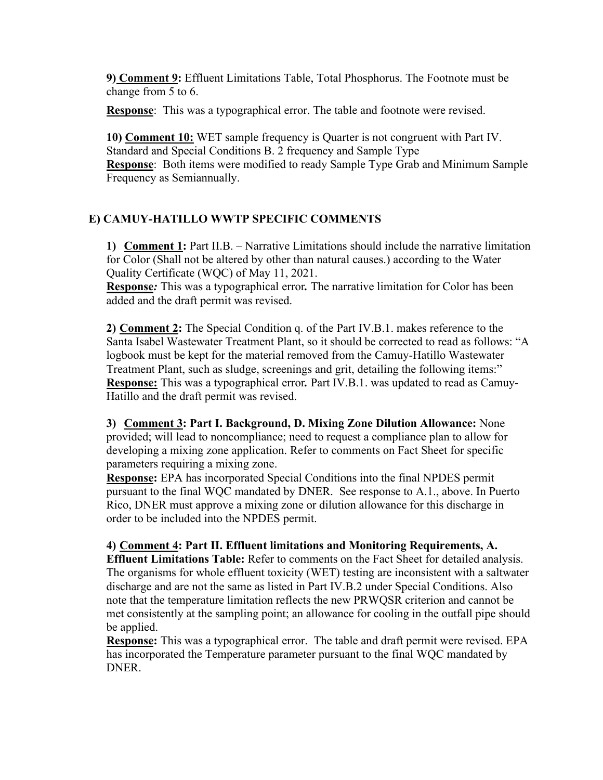**9) Comment 9:** Effluent Limitations Table, Total Phosphorus. The Footnote must be change from 5 to 6.

**Response**: This was a typographical error. The table and footnote were revised.

**10) Comment 10:** WET sample frequency is Quarter is not congruent with Part IV. Standard and Special Conditions B. 2 frequency and Sample Type **Response**: Both items were modified to ready Sample Type Grab and Minimum Sample Frequency as Semiannually.

# **E) CAMUY-HATILLO WWTP SPECIFIC COMMENTS**

**1) Comment 1:** Part II.B. – Narrative Limitations should include the narrative limitation for Color (Shall not be altered by other than natural causes.) according to the Water Quality Certificate (WQC) of May 11, 2021.

**Response***:* This was a typographical error*.* The narrative limitation for Color has been added and the draft permit was revised.

**2) Comment 2:** The Special Condition q. of the Part IV.B.1. makes reference to the Santa Isabel Wastewater Treatment Plant, so it should be corrected to read as follows: "A logbook must be kept for the material removed from the Camuy-Hatillo Wastewater Treatment Plant, such as sludge, screenings and grit, detailing the following items:" **Response:** This was a typographical error*.* Part IV.B.1. was updated to read as Camuy-Hatillo and the draft permit was revised.

**3) Comment 3: Part I. Background, D. Mixing Zone Dilution Allowance:** None provided; will lead to noncompliance; need to request a compliance plan to allow for developing a mixing zone application. Refer to comments on Fact Sheet for specific parameters requiring a mixing zone.

**Response:** EPA has incorporated Special Conditions into the final NPDES permit pursuant to the final WQC mandated by DNER. See response to A.1., above. In Puerto Rico, DNER must approve a mixing zone or dilution allowance for this discharge in order to be included into the NPDES permit.

**4) Comment 4: Part II. Effluent limitations and Monitoring Requirements, A. Effluent Limitations Table:** Refer to comments on the Fact Sheet for detailed analysis. The organisms for whole effluent toxicity (WET) testing are inconsistent with a saltwater discharge and are not the same as listed in Part IV.B.2 under Special Conditions. Also note that the temperature limitation reflects the new PRWQSR criterion and cannot be met consistently at the sampling point; an allowance for cooling in the outfall pipe should be applied.

**Response:** This was a typographical error. The table and draft permit were revised. EPA has incorporated the Temperature parameter pursuant to the final WQC mandated by DNER.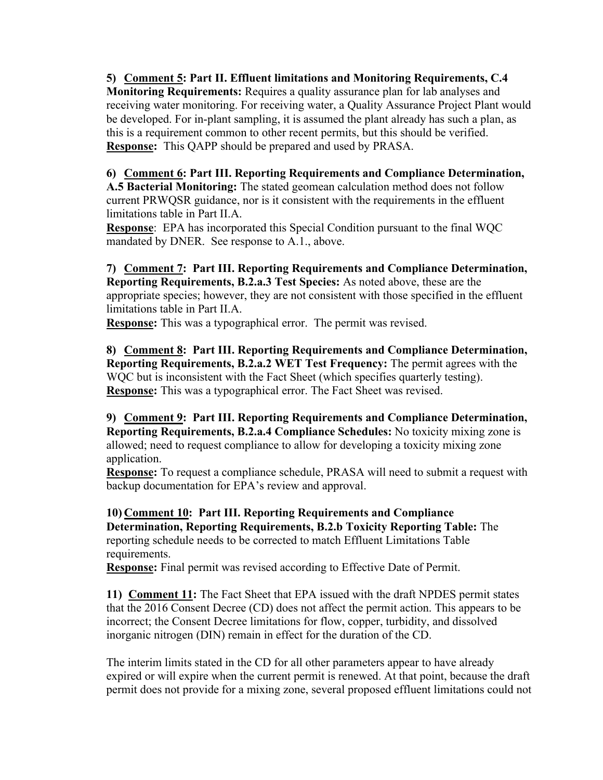**5) Comment 5: Part II. Effluent limitations and Monitoring Requirements, C.4 Monitoring Requirements:** Requires a quality assurance plan for lab analyses and receiving water monitoring. For receiving water, a Quality Assurance Project Plant would be developed. For in-plant sampling, it is assumed the plant already has such a plan, as this is a requirement common to other recent permits, but this should be verified. **Response:** This QAPP should be prepared and used by PRASA.

**6) Comment 6: Part III. Reporting Requirements and Compliance Determination, A.5 Bacterial Monitoring:** The stated geomean calculation method does not follow current PRWQSR guidance, nor is it consistent with the requirements in the effluent limitations table in Part II.A.

**Response**: EPA has incorporated this Special Condition pursuant to the final WQC mandated by DNER. See response to A.1., above.

**7) Comment 7: Part III. Reporting Requirements and Compliance Determination, Reporting Requirements, B.2.a.3 Test Species:** As noted above, these are the appropriate species; however, they are not consistent with those specified in the effluent limitations table in Part II.A.

**Response:** This was a typographical error. The permit was revised.

**8) Comment 8: Part III. Reporting Requirements and Compliance Determination, Reporting Requirements, B.2.a.2 WET Test Frequency:** The permit agrees with the WQC but is inconsistent with the Fact Sheet (which specifies quarterly testing). **Response:** This was a typographical error. The Fact Sheet was revised.

**9) Comment 9: Part III. Reporting Requirements and Compliance Determination, Reporting Requirements, B.2.a.4 Compliance Schedules:** No toxicity mixing zone is allowed; need to request compliance to allow for developing a toxicity mixing zone application.

**Response:** To request a compliance schedule, PRASA will need to submit a request with backup documentation for EPA's review and approval.

**10) Comment 10: Part III. Reporting Requirements and Compliance Determination, Reporting Requirements, B.2.b Toxicity Reporting Table:** The reporting schedule needs to be corrected to match Effluent Limitations Table requirements.

**Response:** Final permit was revised according to Effective Date of Permit.

**11) Comment 11:** The Fact Sheet that EPA issued with the draft NPDES permit states that the 2016 Consent Decree (CD) does not affect the permit action. This appears to be incorrect; the Consent Decree limitations for flow, copper, turbidity, and dissolved inorganic nitrogen (DIN) remain in effect for the duration of the CD.

The interim limits stated in the CD for all other parameters appear to have already expired or will expire when the current permit is renewed. At that point, because the draft permit does not provide for a mixing zone, several proposed effluent limitations could not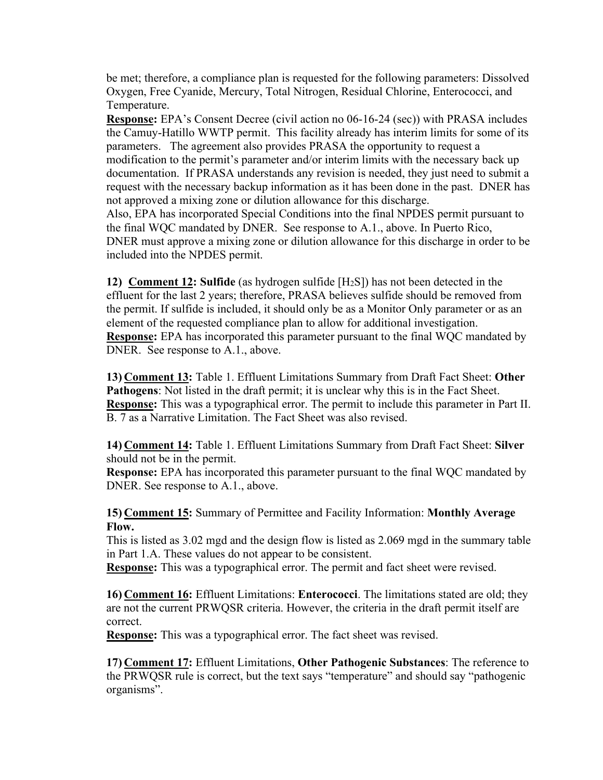be met; therefore, a compliance plan is requested for the following parameters: Dissolved Oxygen, Free Cyanide, Mercury, Total Nitrogen, Residual Chlorine, Enterococci, and Temperature.

**Response:** EPA's Consent Decree (civil action no 06-16-24 (sec)) with PRASA includes the Camuy-Hatillo WWTP permit. This facility already has interim limits for some of its parameters. The agreement also provides PRASA the opportunity to request a modification to the permit's parameter and/or interim limits with the necessary back up documentation. If PRASA understands any revision is needed, they just need to submit a request with the necessary backup information as it has been done in the past. DNER has not approved a mixing zone or dilution allowance for this discharge. Also, EPA has incorporated Special Conditions into the final NPDES permit pursuant to the final WQC mandated by DNER. See response to A.1., above. In Puerto Rico, DNER must approve a mixing zone or dilution allowance for this discharge in order to be included into the NPDES permit.

**12) Comment 12: Sulfide** (as hydrogen sulfide [H2S]) has not been detected in the effluent for the last 2 years; therefore, PRASA believes sulfide should be removed from the permit. If sulfide is included, it should only be as a Monitor Only parameter or as an element of the requested compliance plan to allow for additional investigation. **Response:** EPA has incorporated this parameter pursuant to the final WQC mandated by DNER. See response to A.1., above.

**13) Comment 13:** Table 1. Effluent Limitations Summary from Draft Fact Sheet: **Other Pathogens**: Not listed in the draft permit; it is unclear why this is in the Fact Sheet. **Response:** This was a typographical error. The permit to include this parameter in Part II. B. 7 as a Narrative Limitation. The Fact Sheet was also revised.

**14) Comment 14:** Table 1. Effluent Limitations Summary from Draft Fact Sheet: **Silver**  should not be in the permit.

**Response:** EPA has incorporated this parameter pursuant to the final WQC mandated by DNER. See response to A.1., above.

**15) Comment 15:** Summary of Permittee and Facility Information: **Monthly Average Flow.** 

This is listed as 3.02 mgd and the design flow is listed as 2.069 mgd in the summary table in Part 1.A. These values do not appear to be consistent.

**Response:** This was a typographical error. The permit and fact sheet were revised.

**16) Comment 16:** Effluent Limitations: **Enterococci**. The limitations stated are old; they are not the current PRWQSR criteria. However, the criteria in the draft permit itself are correct.

**Response:** This was a typographical error. The fact sheet was revised.

**17) Comment 17:** Effluent Limitations, **Other Pathogenic Substances**: The reference to the PRWQSR rule is correct, but the text says "temperature" and should say "pathogenic organisms".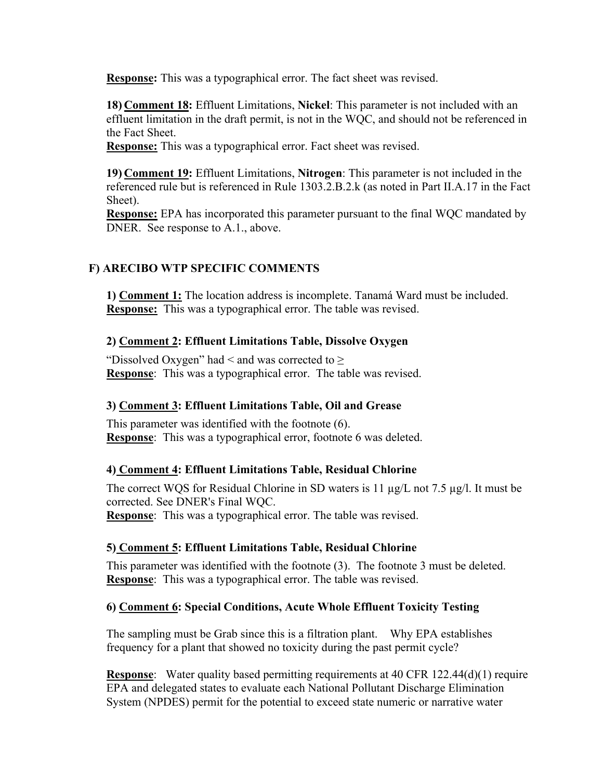**Response:** This was a typographical error. The fact sheet was revised.

**18) Comment 18:** Effluent Limitations, **Nickel**: This parameter is not included with an effluent limitation in the draft permit, is not in the WQC, and should not be referenced in the Fact Sheet.

**Response:** This was a typographical error. Fact sheet was revised.

**19) Comment 19:** Effluent Limitations, **Nitrogen**: This parameter is not included in the referenced rule but is referenced in Rule 1303.2.B.2.k (as noted in Part II.A.17 in the Fact Sheet).

**Response:** EPA has incorporated this parameter pursuant to the final WQC mandated by DNER. See response to A.1., above.

# **F) ARECIBO WTP SPECIFIC COMMENTS**

**1) Comment 1:** The location address is incomplete. Tanamá Ward must be included. **Response:** This was a typographical error. The table was revised.

## **2) Comment 2: Effluent Limitations Table, Dissolve Oxygen**

"Dissolved Oxygen" had < and was corrected to  $\geq$ **Response**: This was a typographical error. The table was revised.

## **3) Comment 3: Effluent Limitations Table, Oil and Grease**

This parameter was identified with the footnote (6). **Response**: This was a typographical error, footnote 6 was deleted.

#### **4) Comment 4: Effluent Limitations Table, Residual Chlorine**

The correct WQS for Residual Chlorine in SD waters is 11 µg/L not 7.5 µg/l. It must be corrected. See DNER's Final WQC. **Response**: This was a typographical error. The table was revised.

## **5) Comment 5: Effluent Limitations Table, Residual Chlorine**

This parameter was identified with the footnote (3). The footnote 3 must be deleted. **Response**: This was a typographical error. The table was revised.

## **6) Comment 6: Special Conditions, Acute Whole Effluent Toxicity Testing**

The sampling must be Grab since this is a filtration plant. Why EPA establishes frequency for a plant that showed no toxicity during the past permit cycle?

**Response**: Water quality based permitting requirements at 40 CFR 122.44(d)(1) require EPA and delegated states to evaluate each National Pollutant Discharge Elimination System (NPDES) permit for the potential to exceed state numeric or narrative water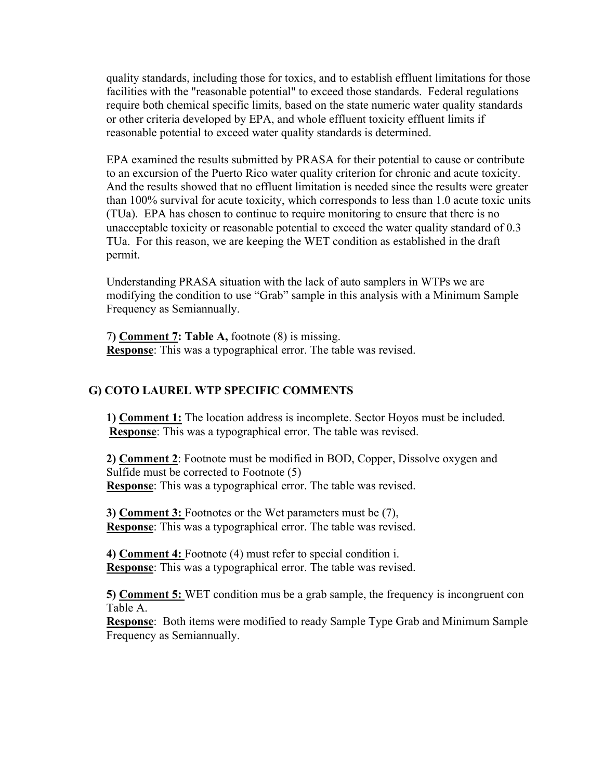quality standards, including those for toxics, and to establish effluent limitations for those facilities with the "reasonable potential" to exceed those standards. Federal regulations require both chemical specific limits, based on the state numeric water quality standards or other criteria developed by EPA, and whole effluent toxicity effluent limits if reasonable potential to exceed water quality standards is determined.

EPA examined the results submitted by PRASA for their potential to cause or contribute to an excursion of the Puerto Rico water quality criterion for chronic and acute toxicity. And the results showed that no effluent limitation is needed since the results were greater than 100% survival for acute toxicity, which corresponds to less than 1.0 acute toxic units (TUa). EPA has chosen to continue to require monitoring to ensure that there is no unacceptable toxicity or reasonable potential to exceed the water quality standard of 0.3 TUa. For this reason, we are keeping the WET condition as established in the draft permit.

Understanding PRASA situation with the lack of auto samplers in WTPs we are modifying the condition to use "Grab" sample in this analysis with a Minimum Sample Frequency as Semiannually.

7**) Comment 7: Table A,** footnote (8) is missing. **Response**: This was a typographical error. The table was revised.

#### **G) COTO LAUREL WTP SPECIFIC COMMENTS**

**1) Comment 1:** The location address is incomplete. Sector Hoyos must be included. **Response**: This was a typographical error. The table was revised.

**2) Comment 2**: Footnote must be modified in BOD, Copper, Dissolve oxygen and Sulfide must be corrected to Footnote (5) **Response**: This was a typographical error. The table was revised.

**3) Comment 3:** Footnotes or the Wet parameters must be (7), **Response**: This was a typographical error. The table was revised.

**4) Comment 4:** Footnote (4) must refer to special condition i. **Response**: This was a typographical error. The table was revised.

**5) Comment 5:** WET condition mus be a grab sample, the frequency is incongruent con Table A.

**Response**: Both items were modified to ready Sample Type Grab and Minimum Sample Frequency as Semiannually.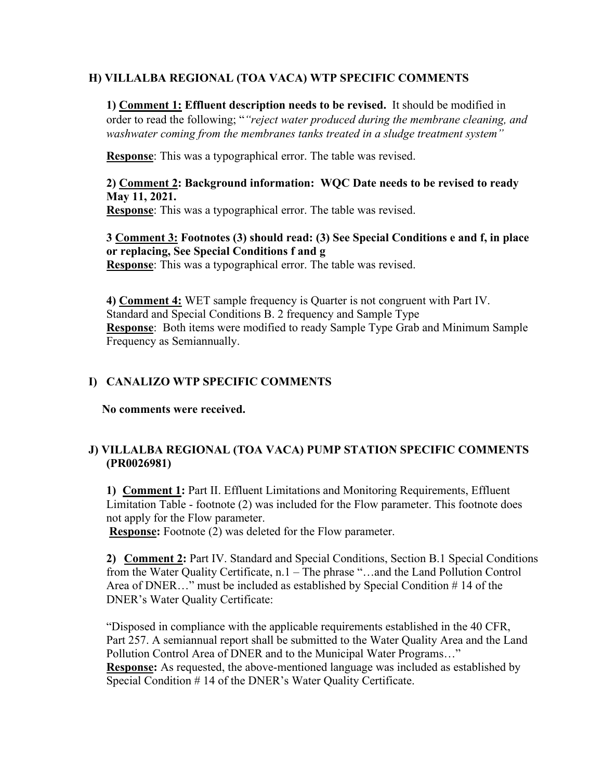## **H) VILLALBA REGIONAL (TOA VACA) WTP SPECIFIC COMMENTS**

**1) Comment 1: Effluent description needs to be revised.** It should be modified in order to read the following; "*"reject water produced during the membrane cleaning, and washwater coming from the membranes tanks treated in a sludge treatment system"*

**Response**: This was a typographical error. The table was revised.

# **2) Comment 2: Background information: WQC Date needs to be revised to ready May 11, 2021.**

**Response**: This was a typographical error. The table was revised.

## **3 Comment 3: Footnotes (3) should read: (3) See Special Conditions e and f, in place or replacing, See Special Conditions f and g**

**Response**: This was a typographical error. The table was revised.

**4) Comment 4:** WET sample frequency is Quarter is not congruent with Part IV. Standard and Special Conditions B. 2 frequency and Sample Type **Response**: Both items were modified to ready Sample Type Grab and Minimum Sample Frequency as Semiannually.

# **I) CANALIZO WTP SPECIFIC COMMENTS**

**No comments were received.** 

# **J) VILLALBA REGIONAL (TOA VACA) PUMP STATION SPECIFIC COMMENTS (PR0026981)**

**1) Comment 1:** Part II. Effluent Limitations and Monitoring Requirements, Effluent Limitation Table - footnote (2) was included for the Flow parameter. This footnote does not apply for the Flow parameter.

**Response:** Footnote (2) was deleted for the Flow parameter.

**2) Comment 2:** Part IV. Standard and Special Conditions, Section B.1 Special Conditions from the Water Quality Certificate, n.1 – The phrase "…and the Land Pollution Control Area of DNER…" must be included as established by Special Condition # 14 of the DNER's Water Quality Certificate:

"Disposed in compliance with the applicable requirements established in the 40 CFR, Part 257. A semiannual report shall be submitted to the Water Quality Area and the Land Pollution Control Area of DNER and to the Municipal Water Programs…" **Response:** As requested, the above-mentioned language was included as established by Special Condition # 14 of the DNER's Water Quality Certificate.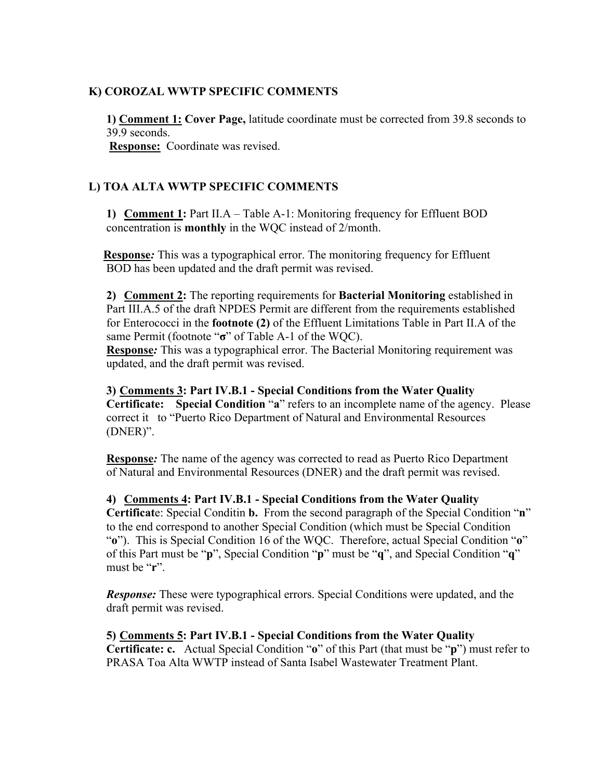### **K) COROZAL WWTP SPECIFIC COMMENTS**

**1) Comment 1: Cover Page,** latitude coordinate must be corrected from 39.8 seconds to 39.9 seconds.

**Response:** Coordinate was revised.

## **L) TOA ALTA WWTP SPECIFIC COMMENTS**

**1) Comment 1:** Part II.A – Table A-1: Monitoring frequency for Effluent BOD concentration is **monthly** in the WQC instead of 2/month.

**Response***:* This was a typographical error. The monitoring frequency for Effluent BOD has been updated and the draft permit was revised.

**2) Comment 2:** The reporting requirements for **Bacterial Monitoring** established in Part III.A.5 of the draft NPDES Permit are different from the requirements established for Enterococci in the **footnote (2)** of the Effluent Limitations Table in Part II.A of the same Permit (footnote "**σ**" of Table A-1 of the WQC).

**Response***:* This was a typographical error. The Bacterial Monitoring requirement was updated, and the draft permit was revised.

**3) Comments 3: Part IV.B.1 - Special Conditions from the Water Quality Certificate: Special Condition** "**a**" refers to an incomplete name of the agency. Please correct it to "Puerto Rico Department of Natural and Environmental Resources (DNER)".

**Response***:* The name of the agency was corrected to read as Puerto Rico Department of Natural and Environmental Resources (DNER) and the draft permit was revised.

**4) Comments 4: Part IV.B.1 - Special Conditions from the Water Quality Certificat**e: Special Conditin **b.** From the second paragraph of the Special Condition "**n**" to the end correspond to another Special Condition (which must be Special Condition "**o**"). This is Special Condition 16 of the WQC. Therefore, actual Special Condition "**o**" of this Part must be "**p**", Special Condition "**p**" must be "**q**", and Special Condition "**q**" must be "**r**".

*Response:* These were typographical errors. Special Conditions were updated, and the draft permit was revised.

**5) Comments 5: Part IV.B.1 - Special Conditions from the Water Quality Certificate: c.** Actual Special Condition "**o**" of this Part (that must be "**p**") must refer to PRASA Toa Alta WWTP instead of Santa Isabel Wastewater Treatment Plant.